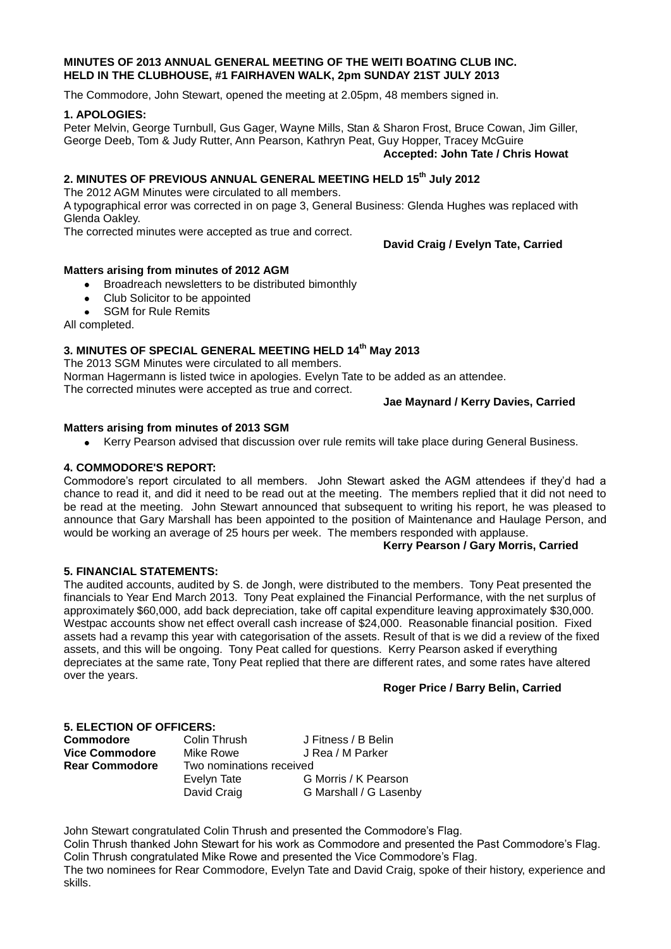#### **MINUTES OF 2013 ANNUAL GENERAL MEETING OF THE WEITI BOATING CLUB INC. HELD IN THE CLUBHOUSE, #1 FAIRHAVEN WALK, 2pm SUNDAY 21ST JULY 2013**

The Commodore, John Stewart, opened the meeting at 2.05pm, 48 members signed in.

#### **1. APOLOGIES:**

Peter Melvin, George Turnbull, Gus Gager, Wayne Mills, Stan & Sharon Frost, Bruce Cowan, Jim Giller, George Deeb, Tom & Judy Rutter, Ann Pearson, Kathryn Peat, Guy Hopper, Tracey McGuire

**Accepted: John Tate / Chris Howat**

# **2. MINUTES OF PREVIOUS ANNUAL GENERAL MEETING HELD 15th July 2012**

The 2012 AGM Minutes were circulated to all members.

A typographical error was corrected in on page 3, General Business: Glenda Hughes was replaced with Glenda Oakley.

The corrected minutes were accepted as true and correct.

**David Craig / Evelyn Tate, Carried**

### **Matters arising from minutes of 2012 AGM**

- Broadreach newsletters to be distributed bimonthly  $\bullet$
- Club Solicitor to be appointed  $\bullet$
- SGM for Rule Remits  $\bullet$

All completed.

## **3. MINUTES OF SPECIAL GENERAL MEETING HELD 14th May 2013**

The 2013 SGM Minutes were circulated to all members. Norman Hagermann is listed twice in apologies. Evelyn Tate to be added as an attendee. The corrected minutes were accepted as true and correct.

### **Jae Maynard / Kerry Davies, Carried**

## **Matters arising from minutes of 2013 SGM**

Kerry Pearson advised that discussion over rule remits will take place during General Business.

## **4. COMMODORE'S REPORT:**

Commodore's report circulated to all members. John Stewart asked the AGM attendees if they'd had a chance to read it, and did it need to be read out at the meeting. The members replied that it did not need to be read at the meeting. John Stewart announced that subsequent to writing his report, he was pleased to announce that Gary Marshall has been appointed to the position of Maintenance and Haulage Person, and would be working an average of 25 hours per week. The members responded with applause.

### **Kerry Pearson / Gary Morris, Carried**

### **5. FINANCIAL STATEMENTS:**

The audited accounts, audited by S. de Jongh, were distributed to the members. Tony Peat presented the financials to Year End March 2013. Tony Peat explained the Financial Performance, with the net surplus of approximately \$60,000, add back depreciation, take off capital expenditure leaving approximately \$30,000. Westpac accounts show net effect overall cash increase of \$24,000. Reasonable financial position. Fixed assets had a revamp this year with categorisation of the assets. Result of that is we did a review of the fixed assets, and this will be ongoing. Tony Peat called for questions. Kerry Pearson asked if everything depreciates at the same rate, Tony Peat replied that there are different rates, and some rates have altered over the years.

### **Roger Price / Barry Belin, Carried**

### **5. ELECTION OF OFFICERS:**

| Commodore             | Colin Thrush             | J Fitness / B Belin    |
|-----------------------|--------------------------|------------------------|
| Vice Commodore        | Mike Rowe                | J Rea / M Parker       |
| <b>Rear Commodore</b> | Two nominations received |                        |
|                       | Evelyn Tate              | G Morris / K Pearson   |
|                       | David Craig              | G Marshall / G Lasenby |
|                       |                          |                        |

John Stewart congratulated Colin Thrush and presented the Commodore's Flag. Colin Thrush thanked John Stewart for his work as Commodore and presented the Past Commodore's Flag. Colin Thrush congratulated Mike Rowe and presented the Vice Commodore's Flag. The two nominees for Rear Commodore, Evelyn Tate and David Craig, spoke of their history, experience and skills.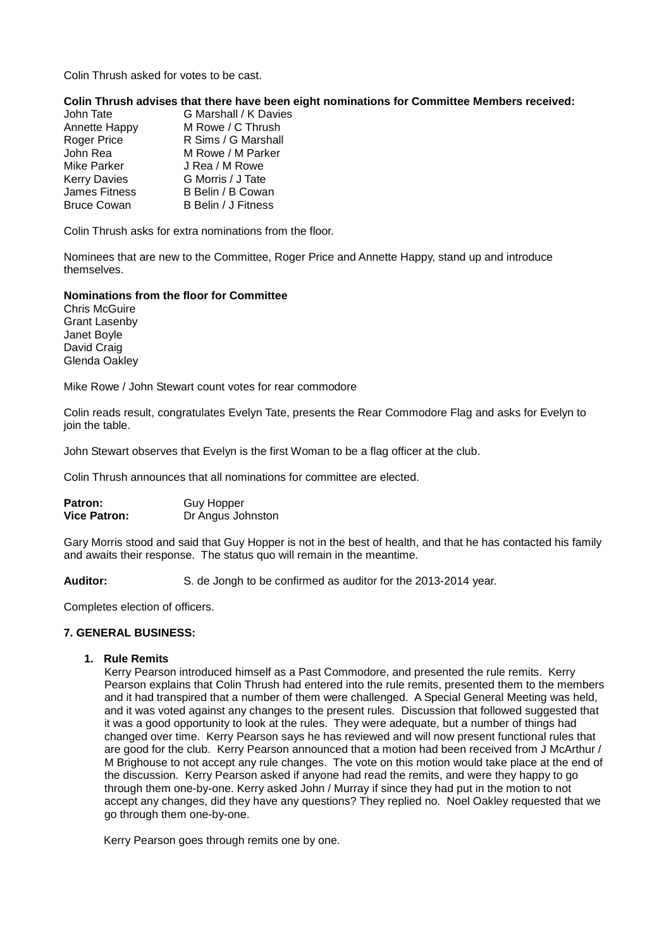Colin Thrush asked for votes to be cast.

#### **Colin Thrush advises that there have been eight nominations for Committee Members received:**

| John Tate           | G Marshall / K Davies |
|---------------------|-----------------------|
| Annette Happy       | M Rowe / C Thrush     |
| <b>Roger Price</b>  | R Sims / G Marshall   |
| John Rea            | M Rowe / M Parker     |
| <b>Mike Parker</b>  | J Rea / M Rowe        |
| <b>Kerry Davies</b> | G Morris / J Tate     |
| James Fitness       | B Belin / B Cowan     |
| <b>Bruce Cowan</b>  | B Belin / J Fitness   |

Colin Thrush asks for extra nominations from the floor.

Nominees that are new to the Committee, Roger Price and Annette Happy, stand up and introduce themselves.

#### **Nominations from the floor for Committee**

Chris McGuire Grant Lasenby Janet Boyle David Craig Glenda Oakley

Mike Rowe / John Stewart count votes for rear commodore

Colin reads result, congratulates Evelyn Tate, presents the Rear Commodore Flag and asks for Evelyn to join the table.

John Stewart observes that Evelyn is the first Woman to be a flag officer at the club.

Colin Thrush announces that all nominations for committee are elected.

Patron: **Guy Hopper Vice Patron:** Dr Angus Johnston

Gary Morris stood and said that Guy Hopper is not in the best of health, and that he has contacted his family and awaits their response. The status quo will remain in the meantime.

**Auditor:** S. de Jongh to be confirmed as auditor for the 2013-2014 year.

Completes election of officers.

#### **7. GENERAL BUSINESS:**

#### **1. Rule Remits**

Kerry Pearson introduced himself as a Past Commodore, and presented the rule remits. Kerry Pearson explains that Colin Thrush had entered into the rule remits, presented them to the members and it had transpired that a number of them were challenged. A Special General Meeting was held, and it was voted against any changes to the present rules. Discussion that followed suggested that it was a good opportunity to look at the rules. They were adequate, but a number of things had changed over time. Kerry Pearson says he has reviewed and will now present functional rules that are good for the club. Kerry Pearson announced that a motion had been received from J McArthur / M Brighouse to not accept any rule changes. The vote on this motion would take place at the end of the discussion. Kerry Pearson asked if anyone had read the remits, and were they happy to go through them one-by-one. Kerry asked John / Murray if since they had put in the motion to not accept any changes, did they have any questions? They replied no. Noel Oakley requested that we go through them one-by-one.

Kerry Pearson goes through remits one by one.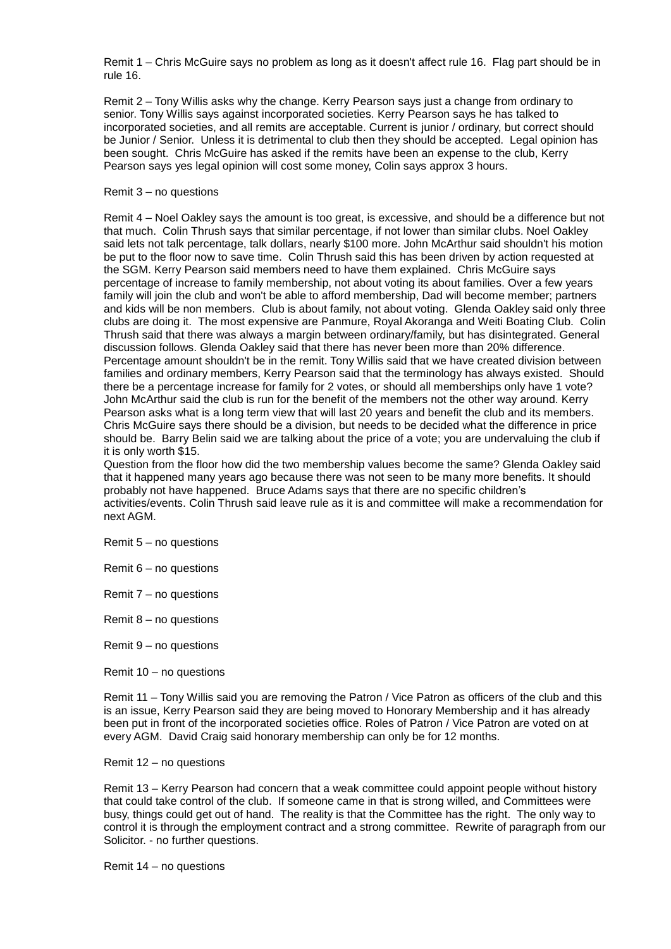Remit 1 – Chris McGuire says no problem as long as it doesn't affect rule 16. Flag part should be in rule 16.

Remit 2 – Tony Willis asks why the change. Kerry Pearson says just a change from ordinary to senior. Tony Willis says against incorporated societies. Kerry Pearson says he has talked to incorporated societies, and all remits are acceptable. Current is junior / ordinary, but correct should be Junior / Senior. Unless it is detrimental to club then they should be accepted. Legal opinion has been sought. Chris McGuire has asked if the remits have been an expense to the club, Kerry Pearson says yes legal opinion will cost some money, Colin says approx 3 hours.

#### Remit 3 – no questions

Remit 4 – Noel Oakley says the amount is too great, is excessive, and should be a difference but not that much. Colin Thrush says that similar percentage, if not lower than similar clubs. Noel Oakley said lets not talk percentage, talk dollars, nearly \$100 more. John McArthur said shouldn't his motion be put to the floor now to save time. Colin Thrush said this has been driven by action requested at the SGM. Kerry Pearson said members need to have them explained. Chris McGuire says percentage of increase to family membership, not about voting its about families. Over a few years family will join the club and won't be able to afford membership, Dad will become member; partners and kids will be non members. Club is about family, not about voting. Glenda Oakley said only three clubs are doing it. The most expensive are Panmure, Royal Akoranga and Weiti Boating Club. Colin Thrush said that there was always a margin between ordinary/family, but has disintegrated. General discussion follows. Glenda Oakley said that there has never been more than 20% difference. Percentage amount shouldn't be in the remit. Tony Willis said that we have created division between families and ordinary members, Kerry Pearson said that the terminology has always existed. Should there be a percentage increase for family for 2 votes, or should all memberships only have 1 vote? John McArthur said the club is run for the benefit of the members not the other way around. Kerry Pearson asks what is a long term view that will last 20 years and benefit the club and its members. Chris McGuire says there should be a division, but needs to be decided what the difference in price should be. Barry Belin said we are talking about the price of a vote; you are undervaluing the club if it is only worth \$15.

Question from the floor how did the two membership values become the same? Glenda Oakley said that it happened many years ago because there was not seen to be many more benefits. It should probably not have happened. Bruce Adams says that there are no specific children's activities/events. Colin Thrush said leave rule as it is and committee will make a recommendation for next AGM.

Remit 5 – no questions

Remit 6 – no questions

Remit 7 – no questions

Remit 8 – no questions

Remit 9 – no questions

Remit 10 – no questions

Remit 11 – Tony Willis said you are removing the Patron / Vice Patron as officers of the club and this is an issue, Kerry Pearson said they are being moved to Honorary Membership and it has already been put in front of the incorporated societies office. Roles of Patron / Vice Patron are voted on at every AGM. David Craig said honorary membership can only be for 12 months.

Remit 12 – no questions

Remit 13 – Kerry Pearson had concern that a weak committee could appoint people without history that could take control of the club. If someone came in that is strong willed, and Committees were busy, things could get out of hand. The reality is that the Committee has the right. The only way to control it is through the employment contract and a strong committee. Rewrite of paragraph from our Solicitor. - no further questions.

Remit 14 – no questions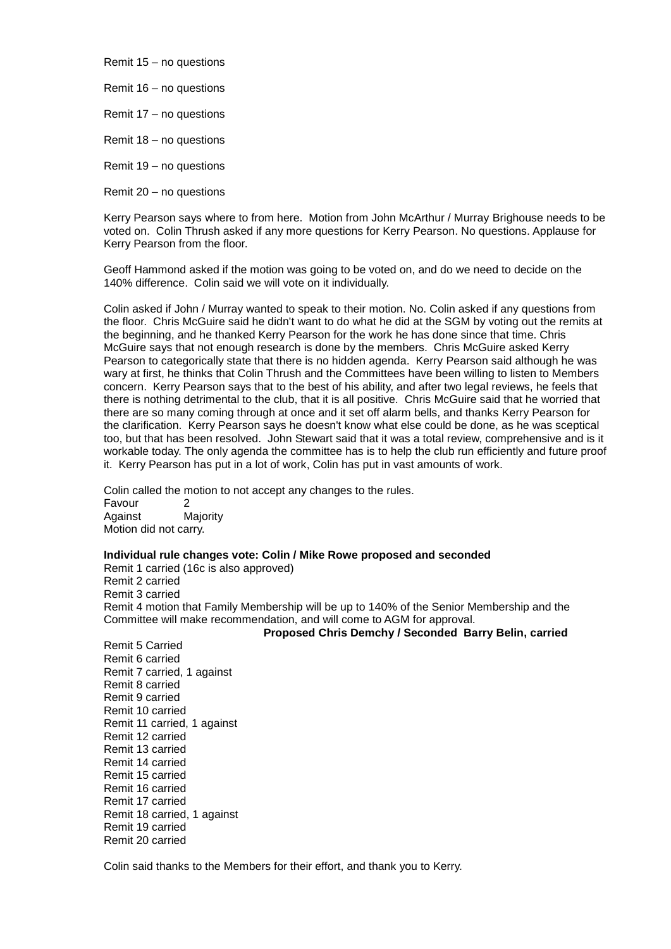Remit 15 – no questions

Remit 16 – no questions

Remit 17 – no questions

Remit 18 – no questions

Remit 19 – no questions

Remit 20 – no questions

Kerry Pearson says where to from here. Motion from John McArthur / Murray Brighouse needs to be voted on. Colin Thrush asked if any more questions for Kerry Pearson. No questions. Applause for Kerry Pearson from the floor.

Geoff Hammond asked if the motion was going to be voted on, and do we need to decide on the 140% difference. Colin said we will vote on it individually.

Colin asked if John / Murray wanted to speak to their motion. No. Colin asked if any questions from the floor. Chris McGuire said he didn't want to do what he did at the SGM by voting out the remits at the beginning, and he thanked Kerry Pearson for the work he has done since that time. Chris McGuire says that not enough research is done by the members. Chris McGuire asked Kerry Pearson to categorically state that there is no hidden agenda. Kerry Pearson said although he was wary at first, he thinks that Colin Thrush and the Committees have been willing to listen to Members concern. Kerry Pearson says that to the best of his ability, and after two legal reviews, he feels that there is nothing detrimental to the club, that it is all positive. Chris McGuire said that he worried that there are so many coming through at once and it set off alarm bells, and thanks Kerry Pearson for the clarification. Kerry Pearson says he doesn't know what else could be done, as he was sceptical too, but that has been resolved. John Stewart said that it was a total review, comprehensive and is it workable today. The only agenda the committee has is to help the club run efficiently and future proof it. Kerry Pearson has put in a lot of work, Colin has put in vast amounts of work.

Colin called the motion to not accept any changes to the rules. Favour 2 Against Majority Motion did not carry.

**Individual rule changes vote: Colin / Mike Rowe proposed and seconded**

Remit 1 carried (16c is also approved) Remit 2 carried Remit 3 carried Remit 4 motion that Family Membership will be up to 140% of the Senior Membership and the Committee will make recommendation, and will come to AGM for approval.

**Proposed Chris Demchy / Seconded Barry Belin, carried** 

Remit 5 Carried Remit 6 carried Remit 7 carried, 1 against Remit 8 carried Remit 9 carried Remit 10 carried Remit 11 carried, 1 against Remit 12 carried Remit 13 carried Remit 14 carried Remit 15 carried Remit 16 carried Remit 17 carried Remit 18 carried, 1 against Remit 19 carried Remit 20 carried

Colin said thanks to the Members for their effort, and thank you to Kerry.